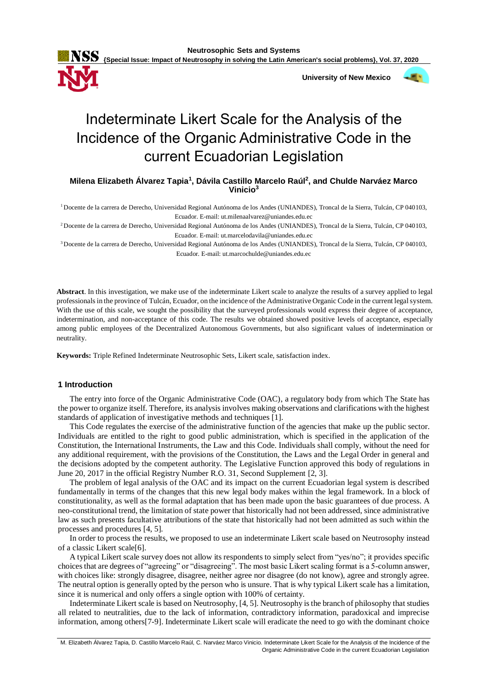**{Special Issue: Impact of Neutrosophy in solving the Latin American's social problems}, Vol. 37, 2020**

 **University of New Mexico**



# Indeterminate Likert Scale for the Analysis of the Incidence of the Organic Administrative Code in the current Ecuadorian Legislation

**Milena Elizabeth Álvarez Tapia<sup>1</sup> , Dávila Castillo Marcelo Raúl<sup>2</sup> , and Chulde Narváez Marco Vinicio<sup>3</sup>**

<sup>1</sup>Docente de la carrera de Derecho, Universidad Regional Autónoma de los Andes (UNIANDES), Troncal de la Sierra, Tulcán, CP 040103, Ecuador. E-mail: ut.milenaalvarez@uniandes.edu.ec

<sup>2</sup>Docente de la carrera de Derecho, Universidad Regional Autónoma de los Andes (UNIANDES), Troncal de la Sierra, Tulcán, CP 040103, Ecuador. E-mail: ut.marcelodavila@uniandes.edu.ec

<sup>3</sup>Docente de la carrera de Derecho, Universidad Regional Autónoma de los Andes (UNIANDES), Troncal de la Sierra, Tulcán, CP 040103, Ecuador. E-mail: ut.marcochulde@uniandes.edu.ec

**Abstract**. In this investigation, we make use of the indeterminate Likert scale to analyze the results of a survey applied to legal professionals in the province of Tulcán, Ecuador, on the incidence of the Administrative Organic Code in the current legal system. With the use of this scale, we sought the possibility that the surveyed professionals would express their degree of acceptance, indetermination, and non-acceptance of this code. The results we obtained showed positive levels of acceptance, especially among public employees of the Decentralized Autonomous Governments, but also significant values of indetermination or neutrality.

**Keywords:** Triple Refined Indeterminate Neutrosophic Sets, Likert scale, satisfaction index.

# **1 Introduction**

The entry into force of the Organic Administrative Code (OAC), a regulatory body from which The State has the power to organize itself. Therefore, its analysis involves making observations and clarifications with the highest standards of application of investigative methods and techniques [1].

This Code regulates the exercise of the administrative function of the agencies that make up the public sector. Individuals are entitled to the right to good public administration, which is specified in the application of the Constitution, the International Instruments, the Law and this Code. Individuals shall comply, without the need for any additional requirement, with the provisions of the Constitution, the Laws and the Legal Order in general and the decisions adopted by the competent authority. The Legislative Function approved this body of regulations in June 20, 2017 in the official Registry Number R.O. 31, Second Supplement [2, 3].

The problem of legal analysis of the OAC and its impact on the current Ecuadorian legal system is described fundamentally in terms of the changes that this new legal body makes within the legal framework. In a block of constitutionality, as well as the formal adaptation that has been made upon the basic guarantees of due process. A neo-constitutional trend, the limitation of state power that historically had not been addressed, since administrative law as such presents facultative attributions of the state that historically had not been admitted as such within the processes and procedures [4, 5].

In order to process the results, we proposed to use an indeterminate Likert scale based on Neutrosophy instead of a classic Likert scale[6].

A typical Likert scale survey does not allow its respondents to simply select from "yes/no"; it provides specific choices that are degrees of "agreeing" or "disagreeing". The most basic Likert scaling format is a 5-column answer, with choices like: strongly disagree, disagree, neither agree nor disagree (do not know), agree and strongly agree. The neutral option is generally opted by the person who is unsure. That is why typical Likert scale has a limitation, since it is numerical and only offers a single option with 100% of certainty.

Indeterminate Likert scale is based on Neutrosophy, [4, 5]. Neutrosophy is the branch of philosophy that studies all related to neutralities, due to the lack of information, contradictory information, paradoxical and imprecise information, among others[7-9]. Indeterminate Likert scale will eradicate the need to go with the dominant choice

M. Elizabeth Álvarez Tapia, D. Castillo Marcelo Raúl, C. Narváez Marco Vinicio. Indeterminate Likert Scale for the Analysis of the Incidence of the Organic Administrative Code in the current Ecuadorian Legislation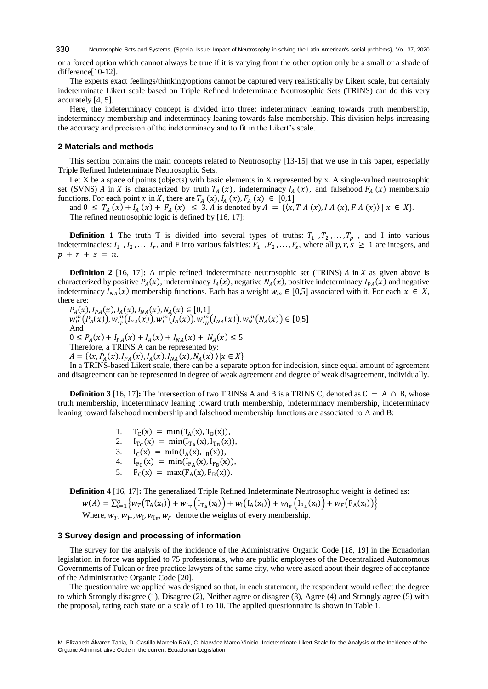or a forced option which cannot always be true if it is varying from the other option only be a small or a shade of difference[10-12].

The experts exact feelings/thinking/options cannot be captured very realistically by Likert scale, but certainly indeterminate Likert scale based on Triple Refined Indeterminate Neutrosophic Sets (TRINS) can do this very accurately [4, 5].

Here, the indeterminacy concept is divided into three: indeterminacy leaning towards truth membership, indeterminacy membership and indeterminacy leaning towards false membership. This division helps increasing the accuracy and precision of the indeterminacy and to fit in the Likert's scale.

# **2 Materials and methods**

This section contains the main concepts related to Neutrosophy [13-15] that we use in this paper, especially Triple Refined Indeterminate Neutrosophic Sets.

Let X be a space of points (objects) with basic elements in X represented by x. A single-valued neutrosophic set (SVNS) A in X is characterized by truth  $T_A(x)$ , indeterminacy  $I_A(x)$ , and falsehood  $F_A(x)$  membership functions. For each point x in X, there are  $T_A(x)$ ,  $I_A(x)$ ,  $F_A(x) \in [0,1]$ 

and  $0 \leq T_A(x) + I_A(x) + F_A(x) \leq 3$ . A is denoted by  $A = \{(x, TA(x), IA(x), FA(x)\}\$   $|x \in X\}$ . The refined neutrosophic logic is defined by [16, 17]:

**Definition 1** The truth T is divided into several types of truths:  $T_1$ ,  $T_2$ , ...,  $T_p$ , and I into various indeterminacies:  $I_1$ ,  $I_2$ ,..., $I_r$ , and F into various falsities:  $F_1$ ,  $F_2$ ,...,  $F_s$ , where all  $p, r, s \ge 1$  are integers, and  $p + r + s = n.$ 

**Definition 2** [16, 17]: A triple refined indeterminate neutrosophic set (TRINS)  $\hat{A}$  in  $\hat{X}$  as given above is characterized by positive  $P_A(x)$ , indeterminacy  $I_A(x)$ , negative  $N_A(x)$ , positive indeterminacy  $I_{PA}(x)$  and negative indeterminacy  $I_{NA}(x)$  membership functions. Each has a weight  $w_m \in [0,5]$  associated with it. For each  $x \in X$ , there are:

 $P_A(x), I_{PA}(x), I_A(x), I_{NA}(x), N_A(x) \in [0,1]$  $w_p^m(P_A(x))$ ,  $w_{I_P}^m(I_{PA}(x))$ ,  $w_{I}^m(I_A(x))$ ,  $w_{I_N}^m(I_{NA}(x))$ ,  $w_{N}^m(N_A(x)) \in [0,5]$ And  $0 \le P_A(x) + I_{PA}(x) + I_A(x) + I_{NA}(x) + N_A(x) \le 5$ Therefore, a TRINS A can be represented by:  $A = \{ (x, P_A(x), I_{PA}(x), I_A(x), I_{NA}(x), N_A(x)) | x \in X \}$ 

In a TRINS-based Likert scale, there can be a separate option for indecision, since equal amount of agreement and disagreement can be represented in degree of weak agreement and degree of weak disagreement, individually.

**Definition 3** [16, 17]**:** The intersection of two TRINSS A and B is a TRINS C, denoted as  $C = A \cap B$ , whose truth membership, indeterminacy leaning toward truth membership, indeterminacy membership, indeterminacy leaning toward falsehood membership and falsehood membership functions are associated to A and B:

> 1.  $T_C(x) = min(T_A(x), T_B(x)),$ 2.  $I_{T_C}(x) = min(I_{T_A}(x), I_{T_B}(x)),$ 3.  $I_C(x) = min(I_A(x), I_B(x)),$ 4.  $I_{F_C}(x) = min(I_{F_A}(x), I_{F_B}(x)),$ 5.  $F_C(x) = max(F_A(x), F_B(x)).$

**Definition 4** [16, 17]**:** The generalized Triple Refined Indeterminate Neutrosophic weight is defined as:

$$
w(A) = \sum_{i=1}^{n} \left\{ w_T \left( T_A(x_i) \right) + w_{1T} \left( I_{TA}(x_i) \right) + w_1 \left( I_A(x_i) \right) + w_{1F} \left( I_{FA}(x_i) \right) + w_F \left( F_A(x_i) \right) \right\}
$$

Where,  $w_T$ ,  $w_{I_T}$ ,  $w_I$ ,  $w_{I_F}$ ,  $w_F$  denote the weights of every membership.

# **3 Survey design and processing of information**

The survey for the analysis of the incidence of the Administrative Organic Code [18, 19] in the Ecuadorian legislation in force was applied to 75 professionals, who are public employees of the Decentralized Autonomous Governments of Tulcan or free practice lawyers of the same city, who were asked about their degree of acceptance of the Administrative Organic Code [20].

The questionnaire we applied was designed so that, in each statement, the respondent would reflect the degree to which Strongly disagree (1), Disagree (2), Neither agree or disagree (3), Agree (4) and Strongly agree (5) with the proposal, rating each state on a scale of 1 to 10. The applied questionnaire is shown in Table 1.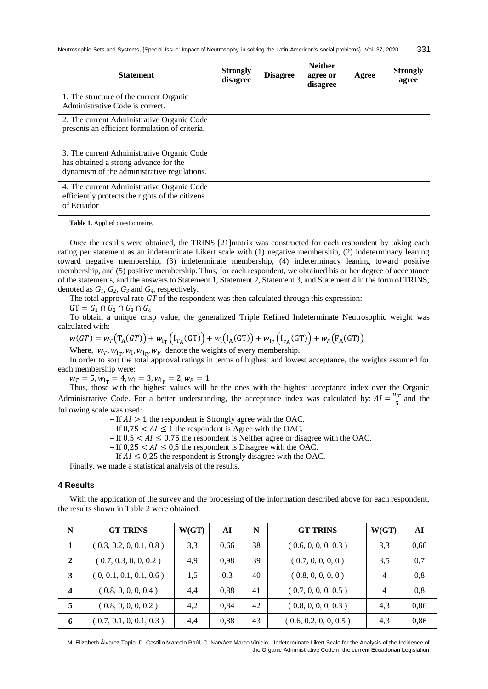| <b>Statement</b>                                                                                                                   | <b>Strongly</b><br>disagree | <b>Disagree</b> | <b>Neither</b><br>agree or<br>disagree | Agree | <b>Strongly</b><br>agree |
|------------------------------------------------------------------------------------------------------------------------------------|-----------------------------|-----------------|----------------------------------------|-------|--------------------------|
| 1. The structure of the current Organic<br>Administrative Code is correct.                                                         |                             |                 |                                        |       |                          |
| 2. The current Administrative Organic Code<br>presents an efficient formulation of criteria.                                       |                             |                 |                                        |       |                          |
| 3. The current Administrative Organic Code<br>has obtained a strong advance for the<br>dynamism of the administrative regulations. |                             |                 |                                        |       |                          |
| 4. The current Administrative Organic Code<br>efficiently protects the rights of the citizens<br>of Ecuador                        |                             |                 |                                        |       |                          |

**Table 1.** Applied questionnaire.

Once the results were obtained, the TRINS [21]matrix was constructed for each respondent by taking each rating per statement as an indeterminate Likert scale with (1) negative membership, (2) indeterminacy leaning toward negative membership, (3) indeterminate membership, (4) indeterminacy leaning toward positive membership, and (5) positive membership. Thus, for each respondent, we obtained his or her degree of acceptance of the statements, and the answers to Statement 1, Statement 2, Statement 3, and Statement 4 in the form of TRINS, denoted as *G1, G2, G<sup>3</sup>* and *G4*, respectively.

The total approval rate *GT* of the respondent was then calculated through this expression:

 $GT = G_1 \cap G_2 \cap G_3 \cap G_4$ 

To obtain a unique crisp value, the generalized Triple Refined Indeterminate Neutrosophic weight was calculated with:

$$
w(GT) = w_T(T_A(GT)) + w_{I_T}(I_{T_A}(GT)) + w_I(I_A(GT)) + w_{I_F}(I_{F_A}(GT)) + w_F(F_A(GT))
$$

Where,  $w_T$ ,  $w_{I_T}$ ,  $w_I$ ,  $w_{I_F}$ ,  $w_F$  denote the weights of every membership.

In order to sort the total approval ratings in terms of highest and lowest acceptance, the weights assumed for each membership were:

 $w_T = 5, w_{I_T} = 4, w_I = 3, w_{I_F} = 2, w_F = 1$ 

Thus, those with the highest values will be the ones with the highest acceptance index over the Organic Administrative Code. For a better understanding, the acceptance index was calculated by:  $AI = \frac{w_T}{r}$  $rac{v_T}{5}$  and the following scale was used:

 $-If A I > 1$  the respondent is Strongly agree with the OAC.

 $-If$  0,75  $\lt$  AI  $\leq$  1 the respondent is Agree with the OAC.

 $-If$  0,5 <  $AI \leq 0.75$  the respondent is Neither agree or disagree with the OAC.

 $-If$  0,25 <  $AI \leq 0.5$  the respondent is Disagree with the OAC.

 $-If A I \leq 0.25$  the respondent is Strongly disagree with the OAC.

Finally, we made a statistical analysis of the results.

# **4 Results**

With the application of the survey and the processing of the information described above for each respondent, the results shown in Table 2 were obtained.

| N                       | <b>GT TRINS</b>         | W(GT) | AI   | N  | <b>GT TRINS</b>       | W(GT)          | AI   |
|-------------------------|-------------------------|-------|------|----|-----------------------|----------------|------|
|                         | (0.3, 0.2, 0, 0.1, 0.8) | 3.3   | 0.66 | 38 | (0.6, 0, 0, 0, 0.3)   | 3.3            | 0,66 |
| $\mathbf{2}$            | (0.7, 0.3, 0, 0, 0.2)   | 4,9   | 0.98 | 39 | (0.7, 0, 0, 0, 0)     | 3.5            | 0,7  |
| 3                       | (0, 0.1, 0.1, 0.1, 0.6) | 1.5   | 0.3  | 40 | (0.8, 0, 0, 0, 0)     | $\overline{4}$ | 0,8  |
| $\overline{\mathbf{4}}$ | (0.8, 0, 0, 0, 0.4)     | 4,4   | 0.88 | 41 | (0.7, 0, 0, 0, 0.5)   | $\overline{4}$ | 0,8  |
| 5                       | (0.8, 0, 0, 0, 0.2)     | 4,2   | 0.84 | 42 | (0.8, 0, 0, 0, 0.3)   | 4,3            | 0,86 |
| 6                       | (0.7, 0.1, 0, 0.1, 0.3) | 4,4   | 0.88 | 43 | (0.6, 0.2, 0, 0, 0.5) | 4.3            | 0,86 |

M. Elizabeth Álvarez Tapia, D. Castillo Marcelo Raúl, C. Narváez Marco Vinicio. Undeterminate Likert Scale for the Analysis of the Incidence of the Organic Administrative Code in the current Ecuadorian Legislation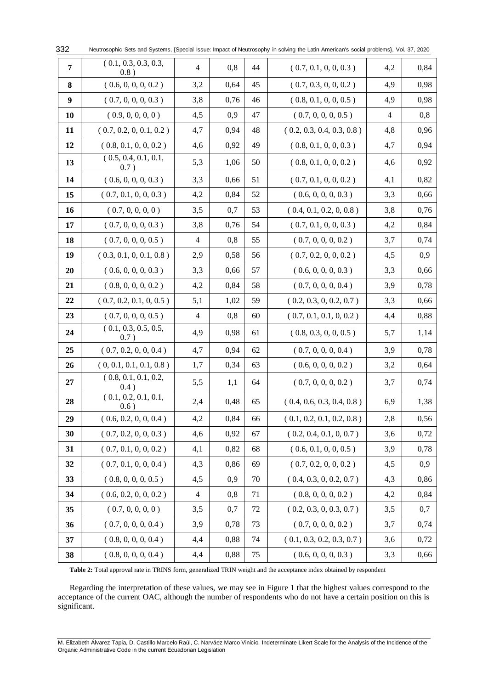| 7  | (0.1, 0.3, 0.3, 0.3,<br>0.8) | $\overline{4}$ | 0,8  | 44     | (0.7, 0.1, 0, 0, 0.3)     | 4,2            | 0,84 |
|----|------------------------------|----------------|------|--------|---------------------------|----------------|------|
| 8  | (0.6, 0, 0, 0, 0.2)          | 3,2            | 0,64 | 45     | (0.7, 0.3, 0, 0, 0.2)     | 4,9            | 0,98 |
| 9  | (0.7, 0, 0, 0, 0.3)          | 3,8            | 0,76 | 46     | (0.8, 0.1, 0, 0, 0.5)     | 4,9            | 0,98 |
| 10 | (0.9, 0, 0, 0, 0)            | 4,5            | 0,9  | 47     | (0.7, 0, 0, 0, 0.5)       | $\overline{4}$ | 0,8  |
| 11 | (0.7, 0.2, 0, 0.1, 0.2)      | 4,7            | 0,94 | 48     | (0.2, 0.3, 0.4, 0.3, 0.8) | 4,8            | 0,96 |
| 12 | (0.8, 0.1, 0, 0, 0.2)        | 4,6            | 0,92 | 49     | (0.8, 0.1, 0, 0, 0.3)     | 4,7            | 0,94 |
| 13 | (0.5, 0.4, 0.1, 0.1,<br>0.7) | 5,3            | 1,06 | 50     | (0.8, 0.1, 0, 0, 0.2)     | 4,6            | 0,92 |
| 14 | (0.6, 0, 0, 0, 0.3)          | 3,3            | 0,66 | 51     | (0.7, 0.1, 0, 0, 0.2)     | 4,1            | 0,82 |
| 15 | (0.7, 0.1, 0, 0, 0.3)        | 4,2            | 0,84 | 52     | (0.6, 0, 0, 0, 0.3)       | 3,3            | 0,66 |
| 16 | (0.7, 0, 0, 0, 0)            | 3,5            | 0,7  | 53     | (0.4, 0.1, 0.2, 0, 0.8)   | 3,8            | 0,76 |
| 17 | (0.7, 0, 0, 0, 0.3)          | 3,8            | 0,76 | 54     | (0.7, 0.1, 0, 0, 0.3)     | 4,2            | 0,84 |
| 18 | (0.7, 0, 0, 0, 0.5)          | $\overline{4}$ | 0,8  | 55     | (0.7, 0, 0, 0, 0.2)       | 3,7            | 0,74 |
| 19 | (0.3, 0.1, 0, 0.1, 0.8)      | 2,9            | 0,58 | 56     | (0.7, 0.2, 0, 0, 0.2)     | 4,5            | 0,9  |
| 20 | (0.6, 0, 0, 0, 0.3)          | 3,3            | 0,66 | 57     | (0.6, 0, 0, 0, 0.3)       | 3,3            | 0,66 |
| 21 | (0.8, 0, 0, 0, 0.2)          | 4,2            | 0,84 | 58     | (0.7, 0, 0, 0, 0.4)       | 3,9            | 0,78 |
| 22 | (0.7, 0.2, 0.1, 0, 0.5)      | 5,1            | 1,02 | 59     | (0.2, 0.3, 0, 0.2, 0.7)   | 3,3            | 0,66 |
| 23 | (0.7, 0, 0, 0, 0.5)          | 4              | 0,8  | 60     | (0.7, 0.1, 0.1, 0, 0.2)   | 4,4            | 0,88 |
| 24 | (0.1, 0.3, 0.5, 0.5,<br>0.7  | 4,9            | 0,98 | 61     | (0.8, 0.3, 0, 0, 0.5)     | 5,7            | 1,14 |
| 25 | (0.7, 0.2, 0, 0, 0.4)        | 4,7            | 0,94 | 62     | (0.7, 0, 0, 0, 0.4)       | 3,9            | 0,78 |
| 26 | (0, 0.1, 0.1, 0.1, 0.8)      | 1,7            | 0,34 | 63     | (0.6, 0, 0, 0, 0.2)       | 3,2            | 0,64 |
| 27 | (0.8, 0.1, 0.1, 0.2,<br>0.4) | 5,5            | 1,1  | 64     | (0.7, 0, 0, 0, 0.2)       | 3,7            | 0,74 |
| 28 | (0.1, 0.2, 0.1, 0.1,<br>0.6) | 2,4            | 0,48 | 65     | (0.4, 0.6, 0.3, 0.4, 0.8) | 6,9            | 1,38 |
| 29 | (0.6, 0.2, 0, 0, 0.4)        | 4,2            | 0,84 | 66     | (0.1, 0.2, 0.1, 0.2, 0.8) | 2,8            | 0,56 |
| 30 | (0.7, 0.2, 0, 0, 0.3)        | 4,6            | 0,92 | 67     | (0.2, 0.4, 0.1, 0, 0.7)   | 3,6            | 0,72 |
| 31 | (0.7, 0.1, 0, 0, 0.2)        | 4,1            | 0,82 | 68     | (0.6, 0.1, 0, 0, 0.5)     | 3,9            | 0,78 |
| 32 | (0.7, 0.1, 0, 0, 0.4)        | 4,3            | 0,86 | 69     | (0.7, 0.2, 0, 0, 0.2)     | 4,5            | 0,9  |
| 33 | (0.8, 0, 0, 0, 0.5)          | 4,5            | 0,9  | 70     | (0.4, 0.3, 0, 0.2, 0.7)   | 4,3            | 0,86 |
| 34 | (0.6, 0.2, 0, 0, 0.2)        | $\overline{4}$ | 0,8  | $71\,$ | (0.8, 0, 0, 0, 0.2)       | 4,2            | 0,84 |
| 35 | (0.7, 0, 0, 0, 0)            | 3,5            | 0,7  | 72     | (0.2, 0.3, 0, 0.3, 0.7)   | 3,5            | 0,7  |
| 36 | (0.7, 0, 0, 0, 0.4)          | 3,9            | 0,78 | 73     | (0.7, 0, 0, 0, 0.2)       | 3,7            | 0,74 |
| 37 | (0.8, 0, 0, 0, 0.4)          | 4,4            | 0,88 | 74     | (0.1, 0.3, 0.2, 0.3, 0.7) | 3,6            | 0,72 |
| 38 | (0.8, 0, 0, 0, 0.4)          | 4,4            | 0,88 | 75     | (0.6, 0, 0, 0, 0.3)       | 3,3            | 0,66 |

Neutrosophic Sets and Systems, {Special Issue: Impact of Neutrosophy in solving the Latin American's social problems}, Vol. 37, 2020 

**Table 2:** Total approval rate in TRINS form, generalized TRIN weight and the acceptance index obtained by respondent

Regarding the interpretation of these values, we may see in Figure 1 that the highest values correspond to the acceptance of the current OAC, although the number of respondents who do not have a certain position on this is significant.

M. Elizabeth Álvarez Tapia, D. Castillo Marcelo Raúl, C. Narváez Marco Vinicio. Indeterminate Likert Scale for the Analysis of the Incidence of the Organic Administrative Code in the current Ecuadorian Legislation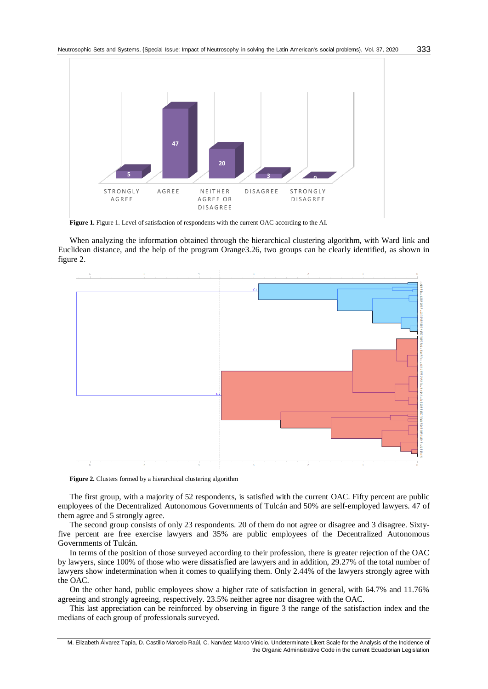

Figure 1. Figure 1. Level of satisfaction of respondents with the current OAC according to the AI.

When analyzing the information obtained through the hierarchical clustering algorithm, with Ward link and Euclidean distance, and the help of the program Orange3.26, two groups can be clearly identified, as shown in figure 2.



Figure 2. Clusters formed by a hierarchical clustering algorithm

The first group, with a majority of 52 respondents, is satisfied with the current OAC. Fifty percent are public employees of the Decentralized Autonomous Governments of Tulcán and 50% are self-employed lawyers. 47 of them agree and 5 strongly agree.

The second group consists of only 23 respondents. 20 of them do not agree or disagree and 3 disagree. Sixtyfive percent are free exercise lawyers and 35% are public employees of the Decentralized Autonomous Governments of Tulcán.

In terms of the position of those surveyed according to their profession, there is greater rejection of the OAC by lawyers, since 100% of those who were dissatisfied are lawyers and in addition, 29.27% of the total number of lawyers show indetermination when it comes to qualifying them. Only 2.44% of the lawyers strongly agree with the OAC.

On the other hand, public employees show a higher rate of satisfaction in general, with 64.7% and 11.76% agreeing and strongly agreeing, respectively. 23.5% neither agree nor disagree with the OAC.

This last appreciation can be reinforced by observing in figure 3 the range of the satisfaction index and the medians of each group of professionals surveyed.

M. Elizabeth Álvarez Tapia, D. Castillo Marcelo Raúl, C. Narváez Marco Vinicio. Undeterminate Likert Scale for the Analysis of the Incidence of the Organic Administrative Code in the current Ecuadorian Legislation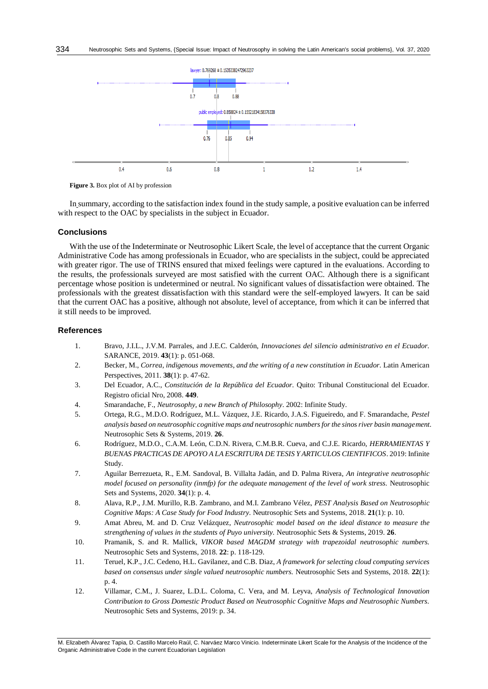

**Figure 3.** Box plot of AI by profession

In summary, according to the satisfaction index found in the study sample, a positive evaluation can be inferred with respect to the OAC by specialists in the subject in Ecuador.

# **Conclusions**

With the use of the Indeterminate or Neutrosophic Likert Scale, the level of acceptance that the current Organic Administrative Code has among professionals in Ecuador, who are specialists in the subject, could be appreciated with greater rigor. The use of TRINS ensured that mixed feelings were captured in the evaluations. According to the results, the professionals surveyed are most satisfied with the current OAC. Although there is a significant percentage whose position is undetermined or neutral. No significant values of dissatisfaction were obtained. The professionals with the greatest dissatisfaction with this standard were the self-employed lawyers. It can be said that the current OAC has a positive, although not absolute, level of acceptance, from which it can be inferred that it still needs to be improved.

#### **References**

- 1. Bravo, J.I.L., J.V.M. Parrales, and J.E.C. Calderón, *Innovaciones del silencio administrativo en el Ecuador.* SARANCE, 2019. **43**(1): p. 051-068.
- 2. Becker, M., *Correa, indigenous movements, and the writing of a new constitution in Ecuador.* Latin American Perspectives, 2011. **38**(1): p. 47-62.
- 3. Del Ecuador, A.C., *Constitución de la República del Ecuador.* Quito: Tribunal Constitucional del Ecuador. Registro oficial Nro, 2008. **449**.
- 4. Smarandache, F., *Neutrosophy, a new Branch of Philosophy*. 2002: Infinite Study.
- 5. Ortega, R.G., M.D.O. Rodríguez, M.L. Vázquez, J.E. Ricardo, J.A.S. Figueiredo, and F. Smarandache, *Pestel analysis based on neutrosophic cognitive maps and neutrosophic numbers for the sinos river basin management.* Neutrosophic Sets & Systems, 2019. **26**.
- 6. Rodríguez, M.D.O., C.A.M. León, C.D.N. Rivera, C.M.B.R. Cueva, and C.J.E. Ricardo, *HERRAMIENTAS Y BUENAS PRACTICAS DE APOYO A LA ESCRITURA DE TESIS Y ARTICULOS CIENTIFICOS*. 2019: Infinite Study.
- 7. Aguilar Berrezueta, R., E.M. Sandoval, B. Villalta Jadán, and D. Palma Rivera, *An integrative neutrosophic model focused on personality (inmfp) for the adequate management of the level of work stress.* Neutrosophic Sets and Systems, 2020. **34**(1): p. 4.
- 8. Alava, R.P., J.M. Murillo, R.B. Zambrano, and M.I. Zambrano Vélez, *PEST Analysis Based on Neutrosophic Cognitive Maps: A Case Study for Food Industry.* Neutrosophic Sets and Systems, 2018. **21**(1): p. 10.
- 9. Amat Abreu, M. and D. Cruz Velázquez, *Neutrosophic model based on the ideal distance to measure the strengthening of values in the students of Puyo university.* Neutrosophic Sets & Systems, 2019. **26**.
- 10. Pramanik, S. and R. Mallick, *VIKOR based MAGDM strategy with trapezoidal neutrosophic numbers.* Neutrosophic Sets and Systems, 2018. **22**: p. 118-129.
- 11. Teruel, K.P., J.C. Cedeno, H.L. Gavilanez, and C.B. Diaz, *A framework for selecting cloud computing services based on consensus under single valued neutrosophic numbers.* Neutrosophic Sets and Systems, 2018. **22**(1): p. 4.
- 12. Villamar, C.M., J. Suarez, L.D.L. Coloma, C. Vera, and M. Leyva, *Analysis of Technological Innovation Contribution to Gross Domestic Product Based on Neutrosophic Cognitive Maps and Neutrosophic Numbers.* Neutrosophic Sets and Systems, 2019: p. 34.